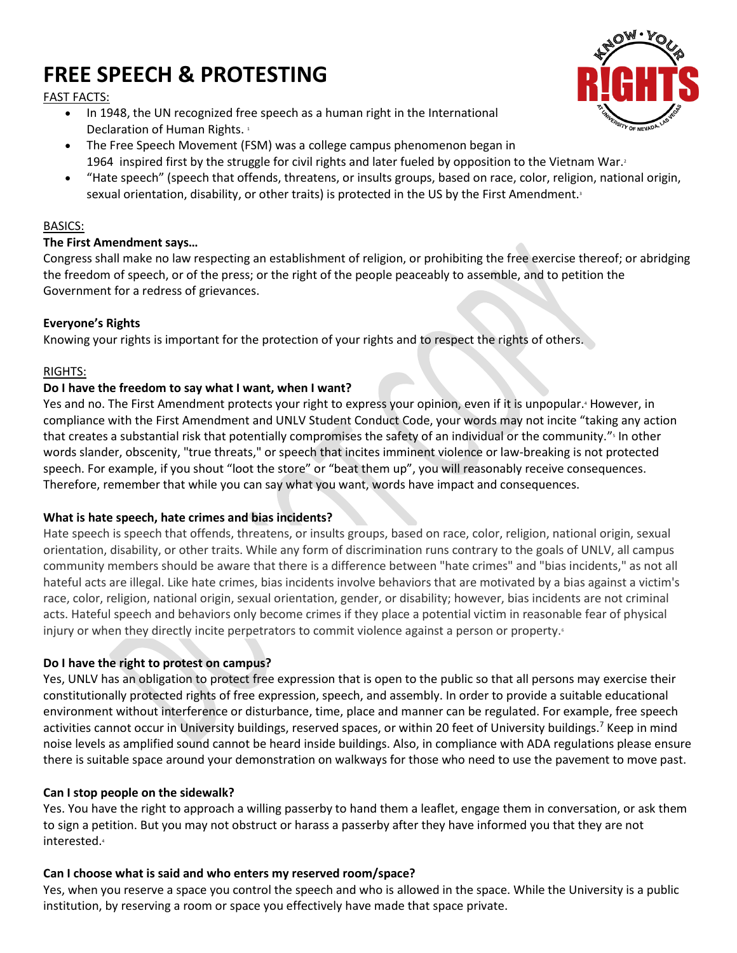# **FREE SPEECH & PROTESTING**



FAST FACTS:

- In 1948, the UN recognized free speech as a human right in the International Declaration of Human Rights.<sup>1</sup>
- The Free Speech Movement (FSM) was a college campus phenomenon began in 1964 inspired first by the struggle for civil rights and later fueled by opposition to the Vietnam War.<sup>2</sup>
- "Hate speech" (speech that offends, threatens, or insults groups, based on race, color, religion, national origin, sexual orientation, disability, or other traits) is protected in the US by the First Amendment.

## BASICS:

# **The First Amendment says…**

Congress shall make no law respecting an establishment of religion, or prohibiting the free exercise thereof; or abridging the freedom of speech, or of the press; or the right of the people peaceably to assemble, and to petition the Government for a redress of grievances.

# **Everyone's Rights**

Knowing your rights is important for the protection of your rights and to respect the rights of others.

## RIGHTS:

## **Do I have the freedom to say what I want, when I want?**

Yes and no. The First Amendment protects your right to express your opinion, even if it is unpopular.<sup>4</sup> However, in compliance with the First Amendment and UNLV Student Conduct Code, your words may not incite "taking any action that creates a substantial risk that potentially compromises the safety of an individual or the community." 5 In other words slander, obscenity, "true threats," or speech that incites imminent violence or law-breaking is not protected speech. For example, if you shout "loot the store" or "beat them up", you will reasonably receive consequences. Therefore, remember that while you can say what you want, words have impact and consequences.

# **What is hate speech, hate crimes and bias incidents?**

Hate speech is speech that offends, threatens, or insults groups, based on race, color, religion, national origin, sexual orientation, disability, or other traits. While any form of discrimination runs contrary to the goals of UNLV, all campus community members should be aware that there is a difference between "hate crimes" and "bias incidents," as not all hateful acts are illegal. Like hate crimes, bias incidents involve behaviors that are motivated by a bias against a victim's race, color, religion, national origin, sexual orientation, gender, or disability; however, bias incidents are not criminal acts. Hateful speech and behaviors only become crimes if they place a potential victim in reasonable fear of physical injury or when they directly incite perpetrators to commit violence against a person or property.

#### **Do I have the right to protest on campus?**

Yes, UNLV has an obligation to protect free expression that is open to the public so that all persons may exercise their constitutionally protected rights of free expression, speech, and assembly. In order to provide a suitable educational environment without interference or disturbance, time, place and manner can be regulated. For example, free speech activities cannot occur in University buildings, reserved spaces, or within 20 feet of University buildings.<sup>7</sup> Keep in mind noise levels as amplified sound cannot be heard inside buildings. Also, in compliance with ADA regulations please ensure there is suitable space around your demonstration on walkways for those who need to use the pavement to move past.

#### **Can I stop people on the sidewalk?**

Yes. You have the right to approach a willing passerby to hand them a leaflet, engage them in conversation, or ask them to sign a petition. But you may not obstruct or harass a passerby after they have informed you that they are not interested.<sup>4</sup>

# **Can I choose what is said and who enters my reserved room/space?**

Yes, when you reserve a space you control the speech and who is allowed in the space. While the University is a public institution, by reserving a room or space you effectively have made that space private.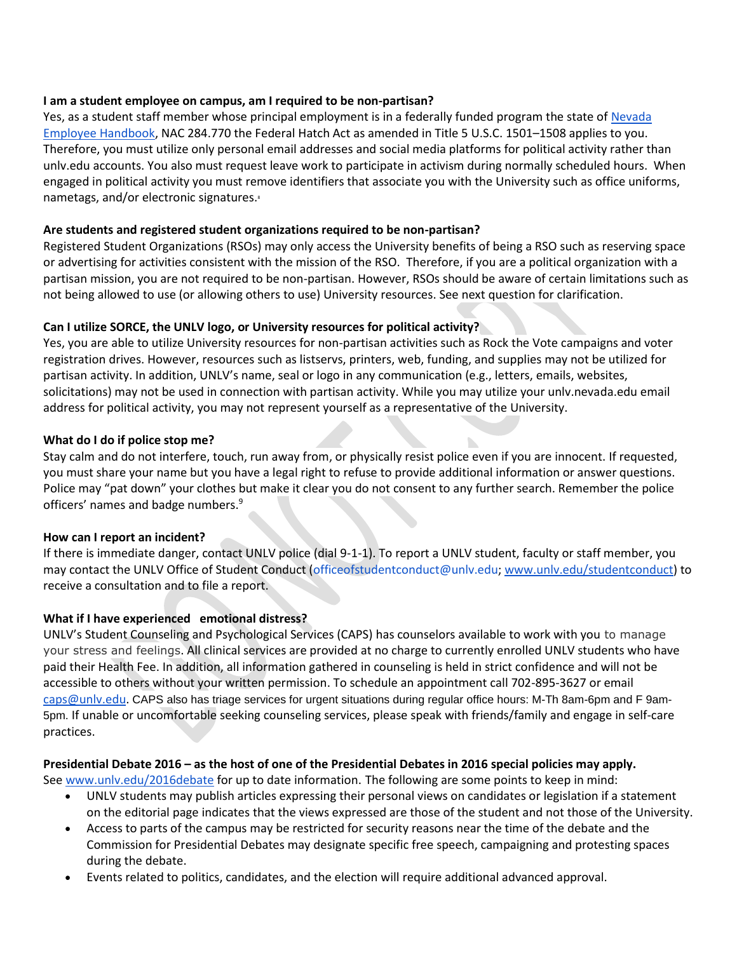#### **I am a student employee on campus, am I required to be non-partisan?**

Yes, as a student staff member whose principal employment is in a federally funded program the state of [Nevada](http://hr.nv.gov/uploadedFiles/hrnvgov/Content/Resources/Publications/Employee_Handbook.pdf)  [Employee Handbook,](http://hr.nv.gov/uploadedFiles/hrnvgov/Content/Resources/Publications/Employee_Handbook.pdf) NAC 284.770 the Federal Hatch Act as amended in Title 5 U.S.C. 1501–1508 applies to you. Therefore, you must utilize only personal email addresses and social media platforms for political activity rather than unlv.edu accounts. You also must request leave work to participate in activism during normally scheduled hours. When engaged in political activity you must remove identifiers that associate you with the University such as office uniforms, nametags, and/or electronic signatures.<sup>8</sup>

## **Are students and registered student organizations required to be non-partisan?**

Registered Student Organizations (RSOs) may only access the University benefits of being a RSO such as reserving space or advertising for activities consistent with the mission of the RSO. Therefore, if you are a political organization with a partisan mission, you are not required to be non-partisan. However, RSOs should be aware of certain limitations such as not being allowed to use (or allowing others to use) University resources. See next question for clarification.

# **Can I utilize SORCE, the UNLV logo, or University resources for political activity?**

Yes, you are able to utilize University resources for non-partisan activities such as Rock the Vote campaigns and voter registration drives. However, resources such as listservs, printers, web, funding, and supplies may not be utilized for partisan activity. In addition, UNLV's name, seal or logo in any communication (e.g., letters, emails, websites, solicitations) may not be used in connection with partisan activity. While you may utilize your unlv.nevada.edu email address for political activity, you may not represent yourself as a representative of the University.

## **What do I do if police stop me?**

Stay calm and do not interfere, touch, run away from, or physically resist police even if you are innocent. If requested, you must share your name but you have a legal right to refuse to provide additional information or answer questions. Police may "pat down" your clothes but make it clear you do not consent to any further search. Remember the police officers' names and badge numbers.<sup>9</sup>

D.

#### **How can I report an incident?**

If there is immediate danger, contact UNLV police (dial 9-1-1). To report a UNLV student, faculty or staff member, you may contact the UNLV Office of Student Conduct (officeofstudentconduct@unlv.edu; [www.unlv.edu/studentconduct\)](http://www.unlv.edu/studentconduct) to receive a consultation and to file a report.

#### **What if I have experienced emotional distress?**

UNLV's Student Counseling and Psychological Services (CAPS) has counselors available to work with you to manage your stress and feelings. All clinical services are provided at no charge to currently enrolled UNLV students who have paid their Health Fee. In addition, all information gathered in counseling is held in strict confidence and will not be accessible to others without your written permission. To schedule an appointment call 702-895-3627 or email [caps@unlv.edu.](mailto:caps@unlv.edu) CAPS also has triage services for urgent situations during regular office hours: M-Th 8am-6pm and F 9am-5pm. If unable or uncomfortable seeking counseling services, please speak with friends/family and engage in self-care practices.

#### **Presidential Debate 2016 – as the host of one of the Presidential Debates in 2016 special policies may apply.**

See [www.unlv.edu/2016debate](http://www.unlv.edu/2016debate) for up to date information. The following are some points to keep in mind:

- UNLV students may publish articles expressing their personal views on candidates or legislation if a statement on the editorial page indicates that the views expressed are those of the student and not those of the University.
- Access to parts of the campus may be restricted for security reasons near the time of the debate and the Commission for Presidential Debates may designate specific free speech, campaigning and protesting spaces during the debate.
- Events related to politics, candidates, and the election will require additional advanced approval.